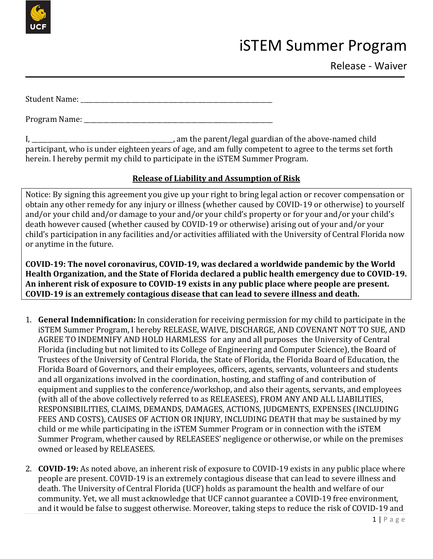

## iSTEM Summer Program

Release - Waiver

Student Name: \_\_\_\_\_\_\_\_\_\_\_\_\_\_\_\_\_\_\_\_\_\_\_\_\_\_\_\_\_\_\_\_\_\_\_\_\_\_\_\_\_\_\_\_\_\_\_\_\_\_\_\_\_\_\_\_\_\_\_\_\_

Program Name: \_\_\_\_\_\_\_\_\_\_\_\_\_\_\_\_\_\_\_\_\_\_\_\_\_\_\_\_\_\_\_\_\_\_\_\_\_\_\_\_\_\_\_\_\_\_\_\_\_\_\_\_\_\_\_\_\_\_\_\_

I, \_\_\_\_\_\_\_\_\_\_\_\_\_\_\_\_\_\_\_\_\_\_\_\_\_\_\_\_\_\_\_\_\_\_\_\_\_\_\_\_\_\_\_\_\_, am the parent/legal guardian of the above-named child participant, who is under eighteen years of age, and am fully competent to agree to the terms set forth herein. I hereby permit my child to participate in the iSTEM Summer Program.

## **Release of Liability and Assumption of Risk**

Notice: By signing this agreement you give up your right to bring legal action or recover compensation or obtain any other remedy for any injury or illness (whether caused by COVID-19 or otherwise) to yourself and/or your child and/or damage to your and/or your child's property or for your and/or your child's death however caused (whether caused by COVID-19 or otherwise) arising out of your and/or your child's participation in any facilities and/or activities affiliated with the University of Central Florida now or anytime in the future.

**COVID-19: The novel coronavirus, COVID-19, was declared a worldwide pandemic by the World Health Organization, and the State of Florida declared a public health emergency due to COVID-19. An inherent risk of exposure to COVID-19 exists in any public place where people are present. COVID-19 is an extremely contagious disease that can lead to severe illness and death.**

- 1. **General Indemnification:** In consideration for receiving permission for my child to participate in the iSTEM Summer Program, I hereby RELEASE, WAIVE, DISCHARGE, AND COVENANT NOT TO SUE, AND AGREE TO INDEMNIFY AND HOLD HARMLESS for any and all purposes the University of Central Florida (including but not limited to its College of Engineering and Computer Science), the Board of Trustees of the University of Central Florida, the State of Florida, the Florida Board of Education, the Florida Board of Governors, and their employees, officers, agents, servants, volunteers and students and all organizations involved in the coordination, hosting, and staffing of and contribution of equipment and supplies to the conference/workshop, and also their agents, servants, and employees (with all of the above collectively referred to as RELEASEES), FROM ANY AND ALL LIABILITIES, RESPONSIBILITIES, CLAIMS, DEMANDS, DAMAGES, ACTIONS, JUDGMENTS, EXPENSES (INCLUDING FEES AND COSTS), CAUSES OF ACTION OR INJURY, INCLUDING DEATH that may be sustained by my child or me while participating in the iSTEM Summer Program or in connection with the iSTEM Summer Program, whether caused by RELEASEES' negligence or otherwise, or while on the premises owned or leased by RELEASEES.
- 2. **COVID-19:** As noted above, an inherent risk of exposure to COVID-19 exists in any public place where people are present. COVID-19 is an extremely contagious disease that can lead to severe illness and death. The University of Central Florida (UCF) holds as paramount the health and welfare of our community. Yet, we all must acknowledge that UCF cannot guarantee a COVID-19 free environment, and it would be false to suggest otherwise. Moreover, taking steps to reduce the risk of COVID-19 and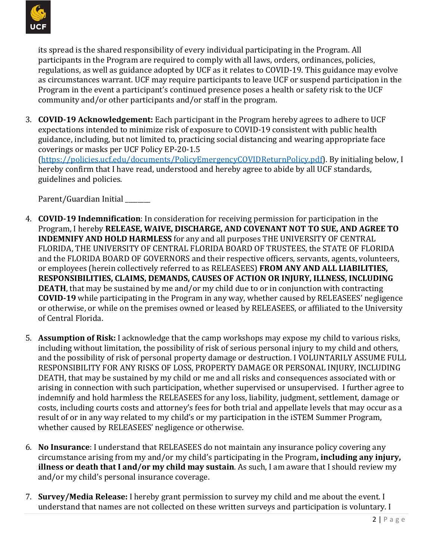

its spread is the shared responsibility of every individual participating in the Program. All participants in the Program are required to comply with all laws, orders, ordinances, policies, regulations, as well as guidance adopted by UCF as it relates to COVID-19. This guidance may evolve as circumstances warrant. UCF may require participants to leave UCF or suspend participation in the Program in the event a participant's continued presence poses a health or safety risk to the UCF community and/or other participants and/or staff in the program.

3. **COVID-19 Acknowledgement:** Each participant in the Program hereby agrees to adhere to UCF expectations intended to minimize risk of exposure to COVID-19 consistent with public health guidance, including, but not limited to, practicing social distancing and wearing appropriate face coverings or masks per UCF Policy EP-20-1.5

(https://policies.ucf.edu/documents/PolicyEmergencyCOVIDReturnPolicy.pdf). By initialing below, I hereby confirm that I have read, understood and hereby agree to abide by all UCF standards, guidelines and policies.

Parent/Guardian Initial

- 4. **COVID-19 Indemnification**: In consideration for receiving permission for participation in the Program, I hereby **RELEASE, WAIVE, DISCHARGE, AND COVENANT NOT TO SUE, AND AGREE TO INDEMNIFY AND HOLD HARMLESS** for any and all purposes THE UNIVERSITY OF CENTRAL FLORIDA, THE UNIVERSITY OF CENTRAL FLORIDA BOARD OF TRUSTEES, the STATE OF FLORIDA and the FLORIDA BOARD OF GOVERNORS and their respective officers, servants, agents, volunteers, or employees (herein collectively referred to as RELEASEES) **FROM ANY AND ALL LIABILITIES, RESPONSIBILITIES, CLAIMS, DEMANDS, CAUSES OF ACTION OR INJURY, ILLNESS, INCLUDING DEATH**, that may be sustained by me and/or my child due to or in conjunction with contracting **COVID-19** while participating in the Program in any way, whether caused by RELEASEES' negligence or otherwise, or while on the premises owned or leased by RELEASEES, or affiliated to the University of Central Florida.
- 5. **Assumption of Risk:** I acknowledge that the camp workshops may expose my child to various risks, including without limitation, the possibility of risk of serious personal injury to my child and others, and the possibility of risk of personal property damage or destruction. I VOLUNTARILY ASSUME FULL RESPONSIBILITY FOR ANY RISKS OF LOSS, PROPERTY DAMAGE OR PERSONAL INJURY, INCLUDING DEATH, that may be sustained by my child or me and all risks and consequences associated with or arising in connection with such participation, whether supervised or unsupervised. I further agree to indemnify and hold harmless the RELEASEES for any loss, liability, judgment, settlement, damage or costs, including courts costs and attorney's fees for both trial and appellate levels that may occur as a result of or in any way related to my child's or my participation in the iSTEM Summer Program, whether caused by RELEASEES' negligence or otherwise.
- 6. **No Insurance**: I understand that RELEASEES do not maintain any insurance policy covering any circumstance arising from my and/or my child's participating in the Program**, including any injury, illness or death that I and/or my child may sustain**. As such, I am aware that I should review my and/or my child's personal insurance coverage.
- 7. **Survey/Media Release:** I hereby grant permission to survey my child and me about the event. I understand that names are not collected on these written surveys and participation is voluntary. I